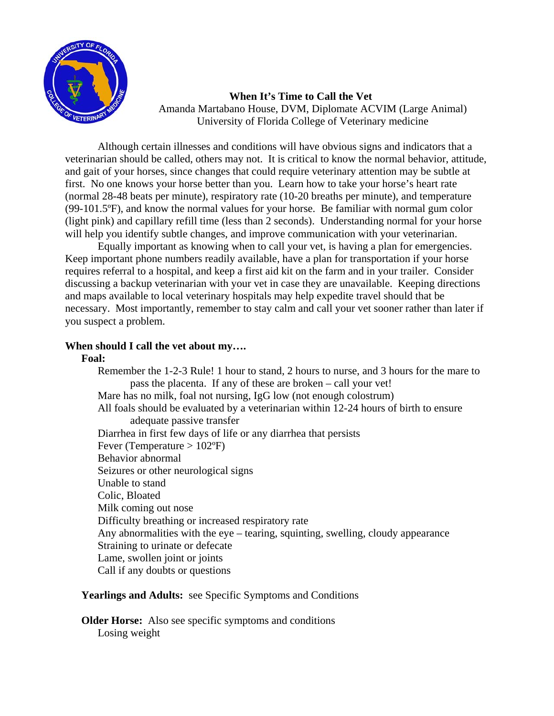

 **When It's Time to Call the Vet**  Amanda Martabano House, DVM, Diplomate ACVIM (Large Animal) University of Florida College of Veterinary medicine

Although certain illnesses and conditions will have obvious signs and indicators that a veterinarian should be called, others may not. It is critical to know the normal behavior, attitude, and gait of your horses, since changes that could require veterinary attention may be subtle at first. No one knows your horse better than you. Learn how to take your horse's heart rate (normal 28-48 beats per minute), respiratory rate (10-20 breaths per minute), and temperature (99-101.5ºF), and know the normal values for your horse. Be familiar with normal gum color (light pink) and capillary refill time (less than 2 seconds). Understanding normal for your horse will help you identify subtle changes, and improve communication with your veterinarian.

Equally important as knowing when to call your vet, is having a plan for emergencies. Keep important phone numbers readily available, have a plan for transportation if your horse requires referral to a hospital, and keep a first aid kit on the farm and in your trailer. Consider discussing a backup veterinarian with your vet in case they are unavailable. Keeping directions and maps available to local veterinary hospitals may help expedite travel should that be necessary. Most importantly, remember to stay calm and call your vet sooner rather than later if you suspect a problem.

# **When should I call the vet about my….**

### **Foal:**

Remember the 1-2-3 Rule! 1 hour to stand, 2 hours to nurse, and 3 hours for the mare to pass the placenta. If any of these are broken – call your vet! Mare has no milk, foal not nursing, IgG low (not enough colostrum) All foals should be evaluated by a veterinarian within 12-24 hours of birth to ensure adequate passive transfer Diarrhea in first few days of life or any diarrhea that persists Fever (Temperature  $> 102$ °F) Behavior abnormal Seizures or other neurological signs Unable to stand Colic, Bloated Milk coming out nose Difficulty breathing or increased respiratory rate Any abnormalities with the eye – tearing, squinting, swelling, cloudy appearance Straining to urinate or defecate Lame, swollen joint or joints Call if any doubts or questions

# **Yearlings and Adults:** see Specific Symptoms and Conditions

**Older Horse:** Also see specific symptoms and conditions Losing weight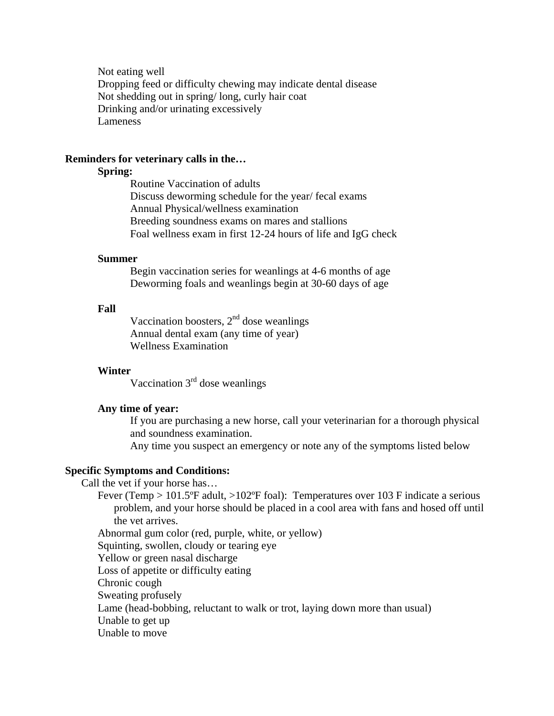Not eating well Dropping feed or difficulty chewing may indicate dental disease Not shedding out in spring/ long, curly hair coat Drinking and/or urinating excessively Lameness

### **Reminders for veterinary calls in the…**

## **Spring:**

 Routine Vaccination of adults Discuss deworming schedule for the year/ fecal exams Annual Physical/wellness examination Breeding soundness exams on mares and stallions Foal wellness exam in first 12-24 hours of life and IgG check

#### **Summer**

 Begin vaccination series for weanlings at 4-6 months of age Deworming foals and weanlings begin at 30-60 days of age

### **Fall**

Vaccination boosters,  $2<sup>nd</sup>$  dose weanlings Annual dental exam (any time of year) Wellness Examination

#### **Winter**

Vaccination  $3<sup>rd</sup>$  dose weanlings

#### **Any time of year:**

If you are purchasing a new horse, call your veterinarian for a thorough physical and soundness examination.

Any time you suspect an emergency or note any of the symptoms listed below

#### **Specific Symptoms and Conditions:**

Call the vet if your horse has…

Fever (Temp > 101.5ºF adult, >102ºF foal): Temperatures over 103 F indicate a serious problem, and your horse should be placed in a cool area with fans and hosed off until the vet arrives.

Abnormal gum color (red, purple, white, or yellow)

Squinting, swollen, cloudy or tearing eye

Yellow or green nasal discharge

Loss of appetite or difficulty eating

Chronic cough

Sweating profusely

Lame (head-bobbing, reluctant to walk or trot, laying down more than usual)

Unable to get up

Unable to move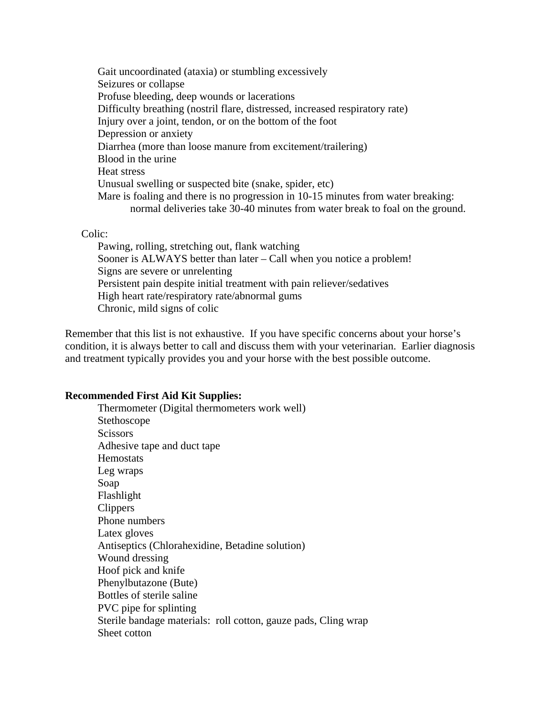Gait uncoordinated (ataxia) or stumbling excessively Seizures or collapse Profuse bleeding, deep wounds or lacerations Difficulty breathing (nostril flare, distressed, increased respiratory rate) Injury over a joint, tendon, or on the bottom of the foot Depression or anxiety Diarrhea (more than loose manure from excitement/trailering) Blood in the urine Heat stress Unusual swelling or suspected bite (snake, spider, etc) Mare is foaling and there is no progression in 10-15 minutes from water breaking: normal deliveries take 30-40 minutes from water break to foal on the ground.

### Colic:

 Pawing, rolling, stretching out, flank watching Sooner is ALWAYS better than later – Call when you notice a problem! Signs are severe or unrelenting Persistent pain despite initial treatment with pain reliever/sedatives High heart rate/respiratory rate/abnormal gums Chronic, mild signs of colic

Remember that this list is not exhaustive. If you have specific concerns about your horse's condition, it is always better to call and discuss them with your veterinarian. Earlier diagnosis and treatment typically provides you and your horse with the best possible outcome.

### **Recommended First Aid Kit Supplies:**

 Thermometer (Digital thermometers work well) Stethoscope **Scissors**  Adhesive tape and duct tape **Hemostats**  Leg wraps Soap Flashlight Clippers Phone numbers Latex gloves Antiseptics (Chlorahexidine, Betadine solution) Wound dressing Hoof pick and knife Phenylbutazone (Bute) Bottles of sterile saline PVC pipe for splinting Sterile bandage materials: roll cotton, gauze pads, Cling wrap Sheet cotton